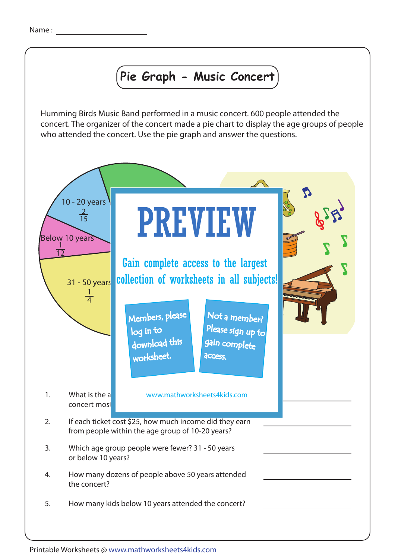